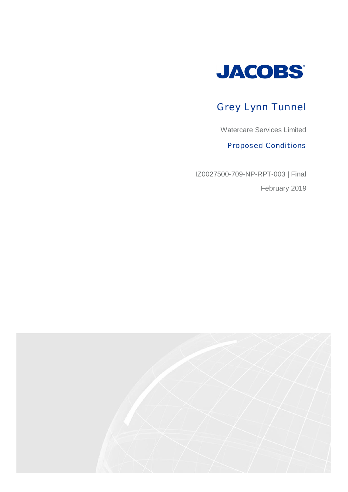

# Grey Lynn Tunnel

Watercare Services Limited

Proposed Conditions

IZ0027500-709-NP-RPT-003 | Final February 2019

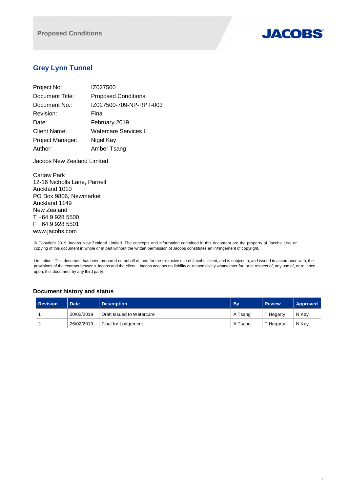

# **Grey Lynn Tunnel**

| Project No:         | IZ027500                   |
|---------------------|----------------------------|
| Document Title:     | <b>Proposed Conditions</b> |
| Document No.:       | IZ027500-709-NP-RPT-003    |
| Revision:           | Final                      |
| Date:               | February 2019              |
| <b>Client Name:</b> | Watercare Services L       |
| Project Manager:    | Nigel Kay                  |
| Author:             | Amber Tsang                |

Jacobs New Zealand Limited

Carlaw Park 12-16 Nicholls Lane, Parnell Auckland 1010 PO Box 9806, Newmarket Auckland 1149 New Zealand T +64 9 928 5500 F +64 9 928 5501 www.jacobs.com

© Copyright 2019 Jacobs New Zealand Limited. The concepts and information contained in this document are the property of Jacobs. Use or copying of this document in whole or in part without the written permission of Jacobs constitutes an infringement of copyright.

Limitation: This document has been prepared on behalf of, and for the exclusive use of Jacobs' client, and is subject to, and issued in accordance with, the provisions of the contract between Jacobs and the client. Jacobs accepts no liability or responsibility whatsoever for, or in respect of, any use of, or reliance upon, this document by any third party.

## **Document history and status**

| <b>Revision</b> | <b>Date</b> | <b>Description</b>        | <b>By</b> | <b>Review</b> | Approved |
|-----------------|-------------|---------------------------|-----------|---------------|----------|
|                 | 20/02/2019  | Draft Issued to Watercare | A Tsang   | T Hegarty     | N Kay    |
| ∠               | 26/02/2019  | Final for Lodgement       | A Tsang   | T Hegarty     | N Kav    |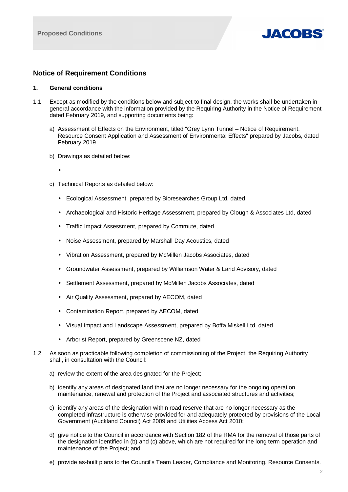

## **Notice of Requirement Conditions**

## **1. General conditions**

- 1.1 Except as modified by the conditions below and subject to final design, the works shall be undertaken in general accordance with the information provided by the Requiring Authority in the Notice of Requirement dated February 2019, and supporting documents being:
	- a) Assessment of Effects on the Environment, titled "Grey Lynn Tunnel Notice of Requirement, Resource Consent Application and Assessment of Environmental Effects" prepared by Jacobs, dated February 2019.
	- b) Drawings as detailed below:
	- c) Technical Reports as detailed below:
		- Ecological Assessment, prepared by Bioresearches Group Ltd, dated
		- Archaeological and Historic Heritage Assessment, prepared by Clough & Associates Ltd, dated
		- Traffic Impact Assessment, prepared by Commute, dated
		- Noise Assessment, prepared by Marshall Day Acoustics, dated
		- Vibration Assessment, prepared by McMillen Jacobs Associates, dated
		- Groundwater Assessment, prepared by Williamson Water & Land Advisory, dated
		- Settlement Assessment, prepared by McMillen Jacobs Associates, dated
		- Air Quality Assessment, prepared by AECOM, dated
		- Contamination Report, prepared by AECOM, dated
		- Visual Impact and Landscape Assessment, prepared by Boffa Miskell Ltd, dated
		- Arborist Report, prepared by Greenscene NZ, dated
- 1.2 As soon as practicable following completion of commissioning of the Project, the Requiring Authority shall, in consultation with the Council:
	- a) review the extent of the area designated for the Project;
	- b) identify any areas of designated land that are no longer necessary for the ongoing operation, maintenance, renewal and protection of the Project and associated structures and activities;
	- c) identify any areas of the designation within road reserve that are no longer necessary as the completed infrastructure is otherwise provided for and adequately protected by provisions of the Local Government (Auckland Council) Act 2009 and Utilities Access Act 2010;
	- d) give notice to the Council in accordance with Section 182 of the RMA for the removal of those parts of the designation identified in (b) and (c) above, which are not required for the long term operation and maintenance of the Project; and
	- e) provide as-built plans to the Council's Team Leader, Compliance and Monitoring, Resource Consents.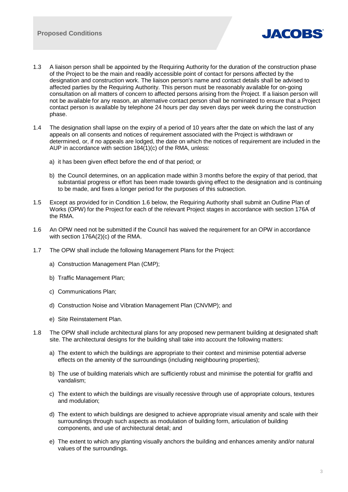

- 1.3 A liaison person shall be appointed by the Requiring Authority for the duration of the construction phase of the Project to be the main and readily accessible point of contact for persons affected by the designation and construction work. The liaison person's name and contact details shall be advised to affected parties by the Requiring Authority. This person must be reasonably available for on-going consultation on all matters of concern to affected persons arising from the Project. If a liaison person will not be available for any reason, an alternative contact person shall be nominated to ensure that a Project contact person is available by telephone 24 hours per day seven days per week during the construction phase.
- 1.4 The designation shall lapse on the expiry of a period of 10 years after the date on which the last of any appeals on all consents and notices of requirement associated with the Project is withdrawn or determined, or, if no appeals are lodged, the date on which the notices of requirement are included in the AUP in accordance with section 184(1)(c) of the RMA, unless:
	- a) it has been given effect before the end of that period; or
	- b) the Council determines, on an application made within 3 months before the expiry of that period, that substantial progress or effort has been made towards giving effect to the designation and is continuing to be made, and fixes a longer period for the purposes of this subsection.
- 1.5 Except as provided for in Condition 1.6 below, the Requiring Authority shall submit an Outline Plan of Works (OPW) for the Project for each of the relevant Project stages in accordance with section 176A of the RMA.
- 1.6 An OPW need not be submitted if the Council has waived the requirement for an OPW in accordance with section 176A(2)(c) of the RMA.
- 1.7 The OPW shall include the following Management Plans for the Project:
	- a) Construction Management Plan (CMP);
	- b) Traffic Management Plan;
	- c) Communications Plan;
	- d) Construction Noise and Vibration Management Plan (CNVMP); and
	- e) Site Reinstatement Plan.
- 1.8 The OPW shall include architectural plans for any proposed new permanent building at designated shaft site. The architectural designs for the building shall take into account the following matters:
	- a) The extent to which the buildings are appropriate to their context and minimise potential adverse effects on the amenity of the surroundings (including neighbouring properties);
	- b) The use of building materials which are sufficiently robust and minimise the potential for graffiti and vandalism;
	- c) The extent to which the buildings are visually recessive through use of appropriate colours, textures and modulation;
	- d) The extent to which buildings are designed to achieve appropriate visual amenity and scale with their surroundings through such aspects as modulation of building form, articulation of building components, and use of architectural detail; and
	- e) The extent to which any planting visually anchors the building and enhances amenity and/or natural values of the surroundings.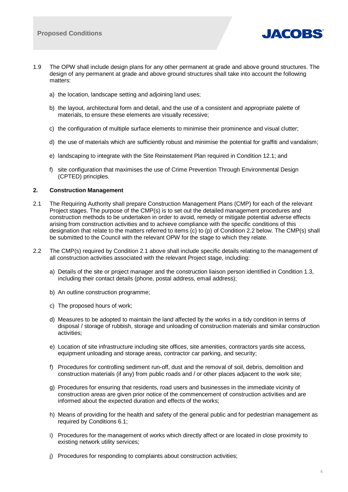

- 1.9 The OPW shall include design plans for any other permanent at grade and above ground structures. The design of any permanent at grade and above ground structures shall take into account the following matters:
	- a) the location, landscape setting and adjoining land uses;
	- b) the layout, architectural form and detail, and the use of a consistent and appropriate palette of materials, to ensure these elements are visually recessive;
	- c) the configuration of multiple surface elements to minimise their prominence and visual clutter;
	- d) the use of materials which are sufficiently robust and minimise the potential for graffiti and vandalism;
	- e) landscaping to integrate with the Site Reinstatement Plan required in Condition 12.1; and
	- f) site configuration that maximises the use of Crime Prevention Through Environmental Design (CPTED) principles.

## **2. Construction Management**

- 2.1 The Requiring Authority shall prepare Construction Management Plans (CMP) for each of the relevant Project stages. The purpose of the CMP(s) is to set out the detailed management procedures and construction methods to be undertaken in order to avoid, remedy or mitigate potential adverse effects arising from construction activities and to achieve compliance with the specific conditions of this designation that relate to the matters referred to items (c) to (p) of Condition 2.2 below. The CMP(s) shall be submitted to the Council with the relevant OPW for the stage to which they relate.
- 2.2 The CMP(s) required by Condition 2.1 above shall include specific details relating to the management of all construction activities associated with the relevant Project stage, including:
	- a) Details of the site or project manager and the construction liaison person identified in Condition 1.3, including their contact details (phone, postal address, email address);
	- b) An outline construction programme;
	- c) The proposed hours of work;
	- d) Measures to be adopted to maintain the land affected by the works in a tidy condition in terms of disposal / storage of rubbish, storage and unloading of construction materials and similar construction activities;
	- e) Location of site infrastructure including site offices, site amenities, contractors yards site access, equipment unloading and storage areas, contractor car parking, and security;
	- f) Procedures for controlling sediment run-off, dust and the removal of soil, debris, demolition and construction materials (if any) from public roads and / or other places adjacent to the work site;
	- g) Procedures for ensuring that residents, road users and businesses in the immediate vicinity of construction areas are given prior notice of the commencement of construction activities and are informed about the expected duration and effects of the works;
	- h) Means of providing for the health and safety of the general public and for pedestrian management as required by Conditions 6.1;
	- i) Procedures for the management of works which directly affect or are located in close proximity to existing network utility services;
	- j) Procedures for responding to complaints about construction activities;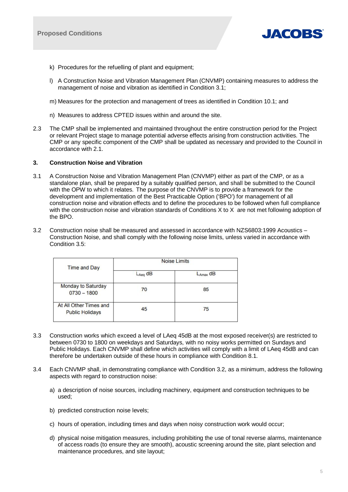

- k) Procedures for the refuelling of plant and equipment;
- l) A Construction Noise and Vibration Management Plan (CNVMP) containing measures to address the management of noise and vibration as identified in Condition 3.1;
- m) Measures for the protection and management of trees as identified in Condition 10.1; and
- n) Measures to address CPTED issues within and around the site.
- 2.3 The CMP shall be implemented and maintained throughout the entire construction period for the Project or relevant Project stage to manage potential adverse effects arising from construction activities. The CMP or any specific component of the CMP shall be updated as necessary and provided to the Council in accordance with 2.1.

## **3. Construction Noise and Vibration**

- 3.1 A Construction Noise and Vibration Management Plan (CNVMP) either as part of the CMP, or as a standalone plan, shall be prepared by a suitably qualified person, and shall be submitted to the Council with the OPW to which it relates. The purpose of the CNVMP is to provide a framework for the development and implementation of the Best Practicable Option ('BPO') for management of all construction noise and vibration effects and to define the procedures to be followed when full compliance with the construction noise and vibration standards of Conditions X to X are not met following adoption of the BPO.
- 3.2 Construction noise shall be measured and assessed in accordance with NZS6803:1999 Acoustics Construction Noise, and shall comply with the following noise limits, unless varied in accordance with Condition 3.5:

| <b>Time and Day</b>                              | <b>Noise Limits</b> |               |  |
|--------------------------------------------------|---------------------|---------------|--|
|                                                  | $L_{Aeg}$ dB        | $L_{Amax}$ dB |  |
| Monday to Saturday<br>$0730 - 1800$              | 70                  | 85            |  |
| At All Other Times and<br><b>Public Holidays</b> | 45                  | 75            |  |

- 3.3 Construction works which exceed a level of LAeq 45dB at the most exposed receiver(s) are restricted to between 0730 to 1800 on weekdays and Saturdays, with no noisy works permitted on Sundays and Public Holidays. Each CNVMP shall define which activities will comply with a limit of LAeq 45dB and can therefore be undertaken outside of these hours in compliance with Condition 8.1.
- 3.4 Each CNVMP shall, in demonstrating compliance with Condition 3.2, as a minimum, address the following aspects with regard to construction noise:
	- a) a description of noise sources, including machinery, equipment and construction techniques to be used;
	- b) predicted construction noise levels;
	- c) hours of operation, including times and days when noisy construction work would occur;
	- d) physical noise mitigation measures, including prohibiting the use of tonal reverse alarms, maintenance of access roads (to ensure they are smooth), acoustic screening around the site, plant selection and maintenance procedures, and site layout;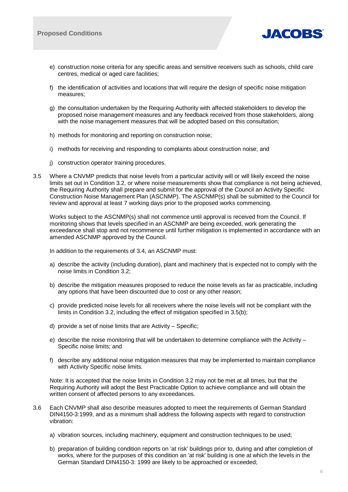

- e) construction noise criteria for any specific areas and sensitive receivers such as schools, child care centres, medical or aged care facilities;
- f) the identification of activities and locations that will require the design of specific noise mitigation measures;
- g) the consultation undertaken by the Requiring Authority with affected stakeholders to develop the proposed noise management measures and any feedback received from those stakeholders, along with the noise management measures that will be adopted based on this consultation;
- h) methods for monitoring and reporting on construction noise;
- i) methods for receiving and responding to complaints about construction noise; and
- j) construction operator training procedures.
- 3.5 Where a CNVMP predicts that noise levels from a particular activity will or will likely exceed the noise limits set out in Condition 3.2, or where noise measurements show that compliance is not being achieved, the Requiring Authority shall prepare and submit for the approval of the Council an Activity Specific Construction Noise Management Plan (ASCNMP). The ASCNMP(s) shall be submitted to the Council for review and approval at least 7 working days prior to the proposed works commencing.

Works subject to the ASCNMP(s) shall not commence until approval is received from the Council. If monitoring shows that levels specified in an ASCNMP are being exceeded, work generating the exceedance shall stop and not recommence until further mitigation is implemented in accordance with an amended ASCNMP approved by the Council.

In addition to the requirements of 3.4, an ASCNMP must:

- a) describe the activity (including duration), plant and machinery that is expected not to comply with the noise limits in Condition 3.2;
- b) describe the mitigation measures proposed to reduce the noise levels as far as practicable, including any options that have been discounted due to cost or any other reason;
- c) provide predicted noise levels for all receivers where the noise levels will not be compliant with the limits in Condition 3.2, including the effect of mitigation specified in 3.5(b);
- d) provide a set of noise limits that are Activity Specific;
- e) describe the noise monitoring that will be undertaken to determine compliance with the Activity Specific noise limits; and
- f) describe any additional noise mitigation measures that may be implemented to maintain compliance with Activity Specific noise limits.

Note: It is accepted that the noise limits in Condition 3.2 may not be met at all times, but that the Requiring Authority will adopt the Best Practicable Option to achieve compliance and will obtain the written consent of affected persons to any exceedances.

- 3.6 Each CNVMP shall also describe measures adopted to meet the requirements of German Standard DIN4150-3:1999, and as a minimum shall address the following aspects with regard to construction vibration:
	- a) vibration sources, including machinery, equipment and construction techniques to be used;
	- b) preparation of building condition reports on 'at risk' buildings prior to, during and after completion of works, where for the purposes of this condition an 'at risk' building is one at which the levels in the German Standard DIN4150-3: 1999 are likely to be approached or exceeded;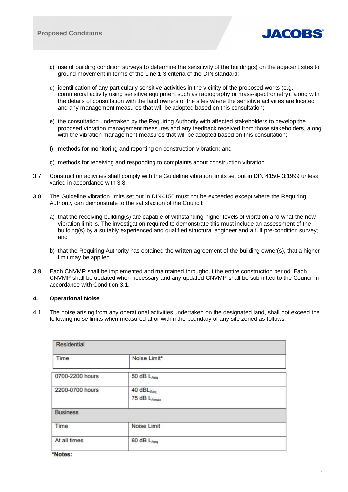

- c) use of building condition surveys to determine the sensitivity of the building(s) on the adjacent sites to ground movement in terms of the Line 1-3 criteria of the DIN standard;
- d) identification of any particularly sensitive activities in the vicinity of the proposed works (e.g. commercial activity using sensitive equipment such as radiography or mass-spectrometry), along with the details of consultation with the land owners of the sites where the sensitive activities are located and any management measures that will be adopted based on this consultation;
- e) the consultation undertaken by the Requiring Authority with affected stakeholders to develop the proposed vibration management measures and any feedback received from those stakeholders, along with the vibration management measures that will be adopted based on this consultation;
- f) methods for monitoring and reporting on construction vibration; and
- g) methods for receiving and responding to complaints about construction vibration.
- 3.7 Construction activities shall comply with the Guideline vibration limits set out in DIN 4150- 3:1999 unless varied in accordance with 3.8.
- 3.8 The Guideline vibration limits set out in DIN4150 must not be exceeded except where the Requiring Authority can demonstrate to the satisfaction of the Council:
	- a) that the receiving building(s) are capable of withstanding higher levels of vibration and what the new vibration limit is. The investigation required to demonstrate this must include an assessment of the building(s) by a suitably experienced and qualified structural engineer and a full pre-condition survey; and
	- b) that the Requiring Authority has obtained the written agreement of the building owner(s), that a higher limit may be applied.
- 3.9 Each CNVMP shall be implemented and maintained throughout the entire construction period. Each CNVMP shall be updated when necessary and any updated CNVMP shall be submitted to the Council in accordance with Condition 3.1.

## **4. Operational Noise**

4.1 The noise arising from any operational activities undertaken on the designated land, shall not exceed the following noise limits when measured at or within the boundary of any site zoned as follows:

| <b>Residential</b> |                                    |  |  |  |
|--------------------|------------------------------------|--|--|--|
| Time               | Noise Limit*                       |  |  |  |
| 0700-2200 hours    | 50 dB LAeg                         |  |  |  |
| 2200-0700 hours    | 40 $dBL_{Aeq}$<br>75 dB $L_{Amax}$ |  |  |  |
| <b>Business</b>    |                                    |  |  |  |
| Time               | Noise Limit                        |  |  |  |
| At all times       | 60 dB LAeq                         |  |  |  |
|                    |                                    |  |  |  |

\*Notes: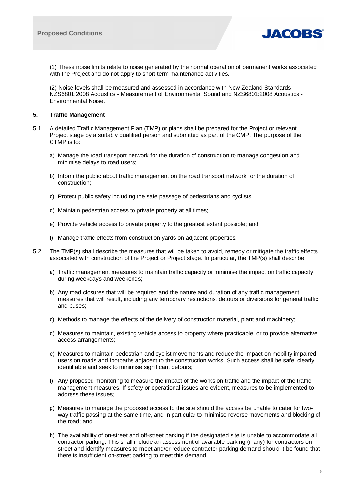

(1) These noise limits relate to noise generated by the normal operation of permanent works associated with the Project and do not apply to short term maintenance activities.

(2) Noise levels shall be measured and assessed in accordance with New Zealand Standards NZS6801:2008 Acoustics - Measurement of Environmental Sound and NZS6801:2008 Acoustics - Environmental Noise.

## **5. Traffic Management**

- 5.1 A detailed Traffic Management Plan (TMP) or plans shall be prepared for the Project or relevant Project stage by a suitably qualified person and submitted as part of the CMP. The purpose of the CTMP is to:
	- a) Manage the road transport network for the duration of construction to manage congestion and minimise delays to road users;
	- b) Inform the public about traffic management on the road transport network for the duration of construction;
	- c) Protect public safety including the safe passage of pedestrians and cyclists;
	- d) Maintain pedestrian access to private property at all times;
	- e) Provide vehicle access to private property to the greatest extent possible; and
	- f) Manage traffic effects from construction yards on adjacent properties.
- 5.2 The TMP(s) shall describe the measures that will be taken to avoid, remedy or mitigate the traffic effects associated with construction of the Project or Project stage. In particular, the TMP(s) shall describe:
	- a) Traffic management measures to maintain traffic capacity or minimise the impact on traffic capacity during weekdays and weekends;
	- b) Any road closures that will be required and the nature and duration of any traffic management measures that will result, including any temporary restrictions, detours or diversions for general traffic and buses;
	- c) Methods to manage the effects of the delivery of construction material, plant and machinery;
	- d) Measures to maintain, existing vehicle access to property where practicable, or to provide alternative access arrangements;
	- e) Measures to maintain pedestrian and cyclist movements and reduce the impact on mobility impaired users on roads and footpaths adjacent to the construction works. Such access shall be safe, clearly identifiable and seek to minimise significant detours;
	- f) Any proposed monitoring to measure the impact of the works on traffic and the impact of the traffic management measures. If safety or operational issues are evident, measures to be implemented to address these issues;
	- g) Measures to manage the proposed access to the site should the access be unable to cater for twoway traffic passing at the same time, and in particular to minimise reverse movements and blocking of the road; and
	- h) The availability of on-street and off-street parking if the designated site is unable to accommodate all contractor parking. This shall include an assessment of available parking (if any) for contractors on street and identify measures to meet and/or reduce contractor parking demand should it be found that there is insufficient on-street parking to meet this demand.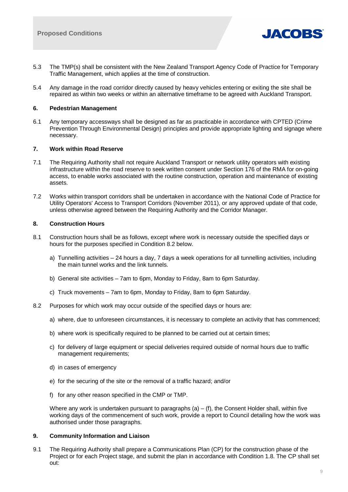

- 5.3 The TMP(s) shall be consistent with the New Zealand Transport Agency Code of Practice for Temporary Traffic Management, which applies at the time of construction.
- 5.4 Any damage in the road corridor directly caused by heavy vehicles entering or exiting the site shall be repaired as within two weeks or within an alternative timeframe to be agreed with Auckland Transport.

## **6. Pedestrian Management**

6.1 Any temporary accessways shall be designed as far as practicable in accordance with CPTED (Crime Prevention Through Environmental Design) principles and provide appropriate lighting and signage where necessary.

## **7. Work within Road Reserve**

- 7.1 The Requiring Authority shall not require Auckland Transport or network utility operators with existing infrastructure within the road reserve to seek written consent under Section 176 of the RMA for on-going access, to enable works associated with the routine construction, operation and maintenance of existing assets.
- 7.2 Works within transport corridors shall be undertaken in accordance with the National Code of Practice for Utility Operators' Access to Transport Corridors (November 2011), or any approved update of that code, unless otherwise agreed between the Requiring Authority and the Corridor Manager.

## **8. Construction Hours**

- 8.1 Construction hours shall be as follows, except where work is necessary outside the specified days or hours for the purposes specified in Condition 8.2 below.
	- a) Tunnelling activities 24 hours a day, 7 days a week operations for all tunnelling activities, including the main tunnel works and the link tunnels.
	- b) General site activities 7am to 6pm, Monday to Friday, 8am to 6pm Saturday.
	- c) Truck movements 7am to 6pm, Monday to Friday, 8am to 6pm Saturday.
- 8.2 Purposes for which work may occur outside of the specified days or hours are:
	- a) where, due to unforeseen circumstances, it is necessary to complete an activity that has commenced;
	- b) where work is specifically required to be planned to be carried out at certain times;
	- c) for delivery of large equipment or special deliveries required outside of normal hours due to traffic management requirements;
	- d) in cases of emergency
	- e) for the securing of the site or the removal of a traffic hazard; and/or
	- f) for any other reason specified in the CMP or TMP.

Where any work is undertaken pursuant to paragraphs  $(a) - (f)$ , the Consent Holder shall, within five working days of the commencement of such work, provide a report to Council detailing how the work was authorised under those paragraphs.

## **9. Community Information and Liaison**

9.1 The Requiring Authority shall prepare a Communications Plan (CP) for the construction phase of the Project or for each Project stage, and submit the plan in accordance with Condition 1.8. The CP shall set out: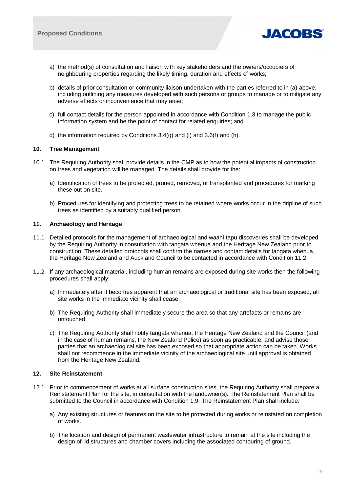

- a) the method(s) of consultation and liaison with key stakeholders and the owners/occupiers of neighbouring properties regarding the likely timing, duration and effects of works;
- b) details of prior consultation or community liaison undertaken with the parties referred to in (a) above, including outlining any measures developed with such persons or groups to manage or to mitigate any adverse effects or inconvenience that may arise;
- c) full contact details for the person appointed in accordance with Condition 1.3 to manage the public information system and be the point of contact for related enquiries; and
- d) the information required by Conditions  $3.4(q)$  and  $(i)$  and  $3.6(f)$  and  $(h)$ .

## **10. Tree Management**

- 10.1 The Requiring Authority shall provide details in the CMP as to how the potential impacts of construction on trees and vegetation will be managed. The details shall provide for the:
	- a) Identification of trees to be protected, pruned, removed, or transplanted and procedures for marking these out on site.
	- b) Procedures for identifying and protecting trees to be retained where works occur in the dripline of such trees as identified by a suitably qualified person.

## **11. Archaeology and Heritage**

- 11.1 Detailed protocols for the management of archaeological and waahi tapu discoveries shall be developed by the Requiring Authority in consultation with tangata whenua and the Heritage New Zealand prior to construction. These detailed protocols shall confirm the names and contact details for tangata whenua, the Heritage New Zealand and Auckland Council to be contacted in accordance with Condition 11.2.
- 11.2 If any archaeological material, including human remains are exposed during site works then the following procedures shall apply:
	- a) Immediately after it becomes apparent that an archaeological or traditional site has been exposed, all site works in the immediate vicinity shall cease.
	- b) The Requiring Authority shall immediately secure the area so that any artefacts or remains are untouched.
	- c) The Requiring Authority shall notify tangata whenua, the Heritage New Zealand and the Council (and in the case of human remains, the New Zealand Police) as soon as practicable, and advise those parties that an archaeological site has been exposed so that appropriate action can be taken. Works shall not recommence in the immediate vicinity of the archaeological site until approval is obtained from the Heritage New Zealand.

## **12. Site Reinstatement**

- 12.1 Prior to commencement of works at all surface construction sites, the Requiring Authority shall prepare a Reinstatement Plan for the site, in consultation with the landowner(s). The Reinstatement Plan shall be submitted to the Council in accordance with Condition 1.9. The Reinstatement Plan shall include:
	- a) Any existing structures or features on the site to be protected during works or reinstated on completion of works.
	- b) The location and design of permanent wastewater infrastructure to remain at the site including the design of lid structures and chamber covers including the associated contouring of ground.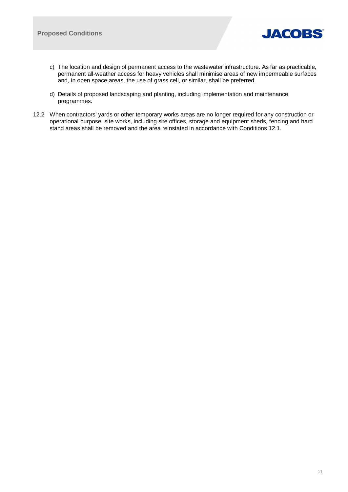

- c) The location and design of permanent access to the wastewater infrastructure. As far as practicable, permanent all-weather access for heavy vehicles shall minimise areas of new impermeable surfaces and, in open space areas, the use of grass cell, or similar, shall be preferred.
- d) Details of proposed landscaping and planting, including implementation and maintenance programmes.
- 12.2 When contractors' yards or other temporary works areas are no longer required for any construction or operational purpose, site works, including site offices, storage and equipment sheds, fencing and hard stand areas shall be removed and the area reinstated in accordance with Conditions 12.1.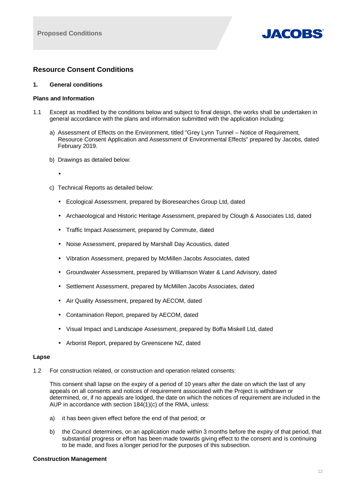

# **Resource Consent Conditions**

## **1. General conditions**

## **Plans and Information**

- 1.1 Except as modified by the conditions below and subject to final design, the works shall be undertaken in general accordance with the plans and information submitted with the application including:
	- a) Assessment of Effects on the Environment, titled "Grey Lynn Tunnel Notice of Requirement, Resource Consent Application and Assessment of Environmental Effects" prepared by Jacobs, dated February 2019.
	- b) Drawings as detailed below:
	- c) Technical Reports as detailed below:
		- Ecological Assessment, prepared by Bioresearches Group Ltd, dated
		- Archaeological and Historic Heritage Assessment, prepared by Clough & Associates Ltd, dated
		- Traffic Impact Assessment, prepared by Commute, dated
		- Noise Assessment, prepared by Marshall Day Acoustics, dated
		- Vibration Assessment, prepared by McMillen Jacobs Associates, dated L.
		- Groundwater Assessment, prepared by Williamson Water & Land Advisory, dated
		- Settlement Assessment, prepared by McMillen Jacobs Associates, dated
		- Air Quality Assessment, prepared by AECOM, dated
		- Contamination Report, prepared by AECOM, dated
		- Visual Impact and Landscape Assessment, prepared by Boffa Miskell Ltd, dated
		- Arborist Report, prepared by Greenscene NZ, dated

## **Lapse**

1.2 For construction related, or construction and operation related consents:

This consent shall lapse on the expiry of a period of 10 years after the date on which the last of any appeals on all consents and notices of requirement associated with the Project is withdrawn or determined, or, if no appeals are lodged, the date on which the notices of requirement are included in the AUP in accordance with section 184(1)(c) of the RMA, unless:

- a) it has been given effect before the end of that period; or
- b) the Council determines, on an application made within 3 months before the expiry of that period, that substantial progress or effort has been made towards giving effect to the consent and is continuing to be made, and fixes a longer period for the purposes of this subsection.

## **Construction Management**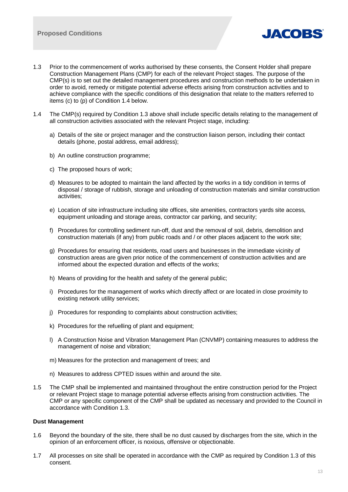

- 1.3 Prior to the commencement of works authorised by these consents, the Consent Holder shall prepare Construction Management Plans (CMP) for each of the relevant Project stages. The purpose of the CMP(s) is to set out the detailed management procedures and construction methods to be undertaken in order to avoid, remedy or mitigate potential adverse effects arising from construction activities and to achieve compliance with the specific conditions of this designation that relate to the matters referred to items (c) to (p) of Condition 1.4 below.
- 1.4 The CMP(s) required by Condition 1.3 above shall include specific details relating to the management of all construction activities associated with the relevant Project stage, including:
	- a) Details of the site or project manager and the construction liaison person, including their contact details (phone, postal address, email address);
	- b) An outline construction programme;
	- c) The proposed hours of work;
	- d) Measures to be adopted to maintain the land affected by the works in a tidy condition in terms of disposal / storage of rubbish, storage and unloading of construction materials and similar construction activities;
	- e) Location of site infrastructure including site offices, site amenities, contractors yards site access, equipment unloading and storage areas, contractor car parking, and security;
	- f) Procedures for controlling sediment run-off, dust and the removal of soil, debris, demolition and construction materials (if any) from public roads and / or other places adjacent to the work site;
	- g) Procedures for ensuring that residents, road users and businesses in the immediate vicinity of construction areas are given prior notice of the commencement of construction activities and are informed about the expected duration and effects of the works;
	- h) Means of providing for the health and safety of the general public;
	- i) Procedures for the management of works which directly affect or are located in close proximity to existing network utility services;
	- j) Procedures for responding to complaints about construction activities;
	- k) Procedures for the refuelling of plant and equipment;
	- l) A Construction Noise and Vibration Management Plan (CNVMP) containing measures to address the management of noise and vibration;
	- m) Measures for the protection and management of trees; and
	- n) Measures to address CPTED issues within and around the site.
- 1.5 The CMP shall be implemented and maintained throughout the entire construction period for the Project or relevant Project stage to manage potential adverse effects arising from construction activities. The CMP or any specific component of the CMP shall be updated as necessary and provided to the Council in accordance with Condition 1.3.

## **Dust Management**

- 1.6 Beyond the boundary of the site, there shall be no dust caused by discharges from the site, which in the opinion of an enforcement officer, is noxious, offensive or objectionable.
- 1.7 All processes on site shall be operated in accordance with the CMP as required by Condition 1.3 of this consent.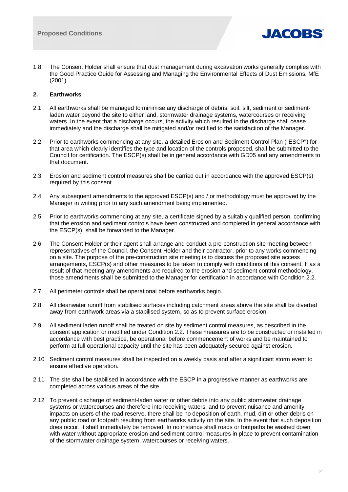

1.8 The Consent Holder shall ensure that dust management during excavation works generally complies with the Good Practice Guide for Assessing and Managing the Environmental Effects of Dust Emissions, MfE (2001).

## **2. Earthworks**

- 2.1 All earthworks shall be managed to minimise any discharge of debris, soil, silt, sediment or sedimentladen water beyond the site to either land, stormwater drainage systems, watercourses or receiving waters. In the event that a discharge occurs, the activity which resulted in the discharge shall cease immediately and the discharge shall be mitigated and/or rectified to the satisfaction of the Manager.
- 2.2 Prior to earthworks commencing at any site, a detailed Erosion and Sediment Control Plan ("ESCP") for that area which clearly identifies the type and location of the controls proposed, shall be submitted to the Council for certification. The ESCP(s) shall be in general accordance with GD05 and any amendments to that document.
- 2.3 Erosion and sediment control measures shall be carried out in accordance with the approved ESCP(s) required by this consent.
- 2.4 Any subsequent amendments to the approved ESCP(s) and / or methodology must be approved by the Manager in writing prior to any such amendment being implemented.
- 2.5 Prior to earthworks commencing at any site, a certificate signed by a suitably qualified person, confirming that the erosion and sediment controls have been constructed and completed in general accordance with the ESCP(s), shall be forwarded to the Manager.
- 2.6 The Consent Holder or their agent shall arrange and conduct a pre-construction site meeting between representatives of the Council, the Consent Holder and their contractor, prior to any works commencing on a site. The purpose of the pre-construction site meeting is to discuss the proposed site access arrangements, ESCP(s) and other measures to be taken to comply with conditions of this consent. If as a result of that meeting any amendments are required to the erosion and sediment control methodology, those amendments shall be submitted to the Manager for certification in accordance with Condition 2.2.
- 2.7 All perimeter controls shall be operational before earthworks begin.
- 2.8 All cleanwater runoff from stabilised surfaces including catchment areas above the site shall be diverted away from earthwork areas via a stabilised system, so as to prevent surface erosion.
- 2.9 All sediment laden runoff shall be treated on site by sediment control measures, as described in the consent application or modified under Condition 2.2. These measures are to be constructed or installed in accordance with best practice, be operational before commencement of works and be maintained to perform at full operational capacity until the site has been adequately secured against erosion.
- 2.10 Sediment control measures shall be inspected on a weekly basis and after a significant storm event to ensure effective operation.
- 2.11 The site shall be stabilised in accordance with the ESCP in a progressive manner as earthworks are completed across various areas of the site.
- 2.12 To prevent discharge of sediment-laden water or other debris into any public stormwater drainage systems or watercourses and therefore into receiving waters, and to prevent nuisance and amenity impacts on users of the road reserve, there shall be no deposition of earth, mud, dirt or other debris on any public road or footpath resulting from earthworks activity on the site. In the event that such deposition does occur, it shall immediately be removed. In no instance shall roads or footpaths be washed down with water without appropriate erosion and sediment control measures in place to prevent contamination of the stormwater drainage system, watercourses or receiving waters.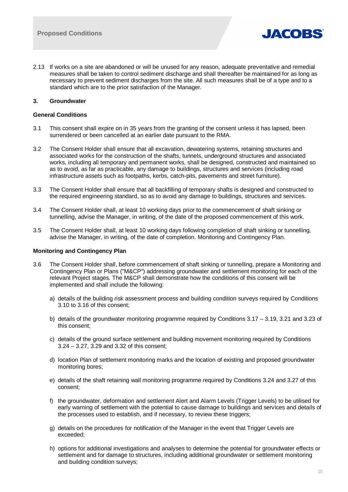

2.13 If works on a site are abandoned or will be unused for any reason, adequate preventative and remedial measures shall be taken to control sediment discharge and shall thereafter be maintained for as long as necessary to prevent sediment discharges from the site. All such measures shall be of a type and to a standard which are to the prior satisfaction of the Manager.

## **3. Groundwater**

## **General Conditions**

- 3.1 This consent shall expire on in 35 years from the granting of the consent unless it has lapsed, been surrendered or been cancelled at an earlier date pursuant to the RMA.
- 3.2 The Consent Holder shall ensure that all excavation, dewatering systems, retaining structures and associated works for the construction of the shafts, tunnels, underground structures and associated works, including all temporary and permanent works, shall be designed, constructed and maintained so as to avoid, as far as practicable, any damage to buildings, structures and services (including road infrastructure assets such as footpaths, kerbs, catch-pits, pavements and street furniture).
- 3.3 The Consent Holder shall ensure that all backfilling of temporary shafts is designed and constructed to the required engineering standard, so as to avoid any damage to buildings, structures and services.
- 3.4 The Consent Holder shall, at least 10 working days prior to the commencement of shaft sinking or tunnelling, advise the Manager, in writing, of the date of the proposed commencement of this work.
- 3.5 The Consent Holder shall, at least 10 working days following completion of shaft sinking or tunnelling, advise the Manager, in writing, of the date of completion. Monitoring and Contingency Plan.

## **Monitoring and Contingency Plan**

- 3.6 The Consent Holder shall, before commencement of shaft sinking or tunnelling, prepare a Monitoring and Contingency Plan or Plans ("M&CP") addressing groundwater and settlement monitoring for each of the relevant Project stages. The M&CP shall demonstrate how the conditions of this consent will be implemented and shall include the following:
	- a) details of the building risk assessment process and building condition surveys required by Conditions 3.10 to 3.16 of this consent;
	- b) details of the groundwater monitoring programme required by Conditions 3.17 3.19, 3.21 and 3.23 of this consent;
	- c) details of the ground surface settlement and building movement monitoring required by Conditions 3.24 – 3.27, 3.29 and 3.32 of this consent;
	- d) location Plan of settlement monitoring marks and the location of existing and proposed groundwater monitoring bores;
	- e) details of the shaft retaining wall monitoring programme required by Conditions 3.24 and 3.27 of this consent;
	- f) the groundwater, deformation and settlement Alert and Alarm Levels (Trigger Levels) to be utilised for early warning of settlement with the potential to cause damage to buildings and services and details of the processes used to establish, and if necessary, to review these triggers;
	- g) details on the procedures for notification of the Manager in the event that Trigger Levels are exceeded;
	- h) options for additional investigations and analyses to determine the potential for groundwater effects or settlement and for damage to structures, including additional groundwater or settlement monitoring and building condition surveys;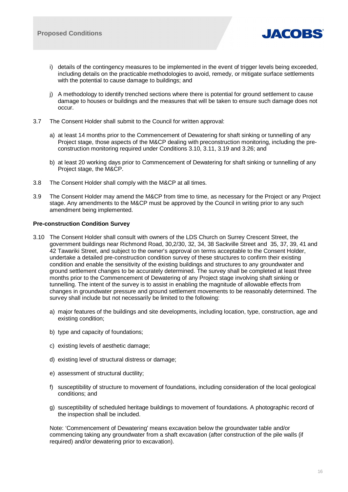

- i) details of the contingency measures to be implemented in the event of trigger levels being exceeded, including details on the practicable methodologies to avoid, remedy, or mitigate surface settlements with the potential to cause damage to buildings; and
- j) A methodology to identify trenched sections where there is potential for ground settlement to cause damage to houses or buildings and the measures that will be taken to ensure such damage does not occur.
- 3.7 The Consent Holder shall submit to the Council for written approval:
	- a) at least 14 months prior to the Commencement of Dewatering for shaft sinking or tunnelling of any Project stage, those aspects of the M&CP dealing with preconstruction monitoring, including the preconstruction monitoring required under Conditions 3.10, 3.11, 3.19 and 3.26; and
	- b) at least 20 working days prior to Commencement of Dewatering for shaft sinking or tunnelling of any Project stage, the M&CP.
- 3.8 The Consent Holder shall comply with the M&CP at all times.
- 3.9 The Consent Holder may amend the M&CP from time to time, as necessary for the Project or any Project stage. Any amendments to the M&CP must be approved by the Council in writing prior to any such amendment being implemented.

## **Pre-construction Condition Survey**

- 3.10 The Consent Holder shall consult with owners of the LDS Church on Surrey Crescent Street, the government buildings near Richmond Road, 30,2/30, 32, 34, 38 Sackville Street and 35, 37, 39, 41 and 42 Tawariki Street, and subject to the owner's approval on terms acceptable to the Consent Holder, undertake a detailed pre-construction condition survey of these structures to confirm their existing condition and enable the sensitivity of the existing buildings and structures to any groundwater and ground settlement changes to be accurately determined. The survey shall be completed at least three months prior to the Commencement of Dewatering of any Project stage involving shaft sinking or tunnelling. The intent of the survey is to assist in enabling the magnitude of allowable effects from changes in groundwater pressure and ground settlement movements to be reasonably determined. The survey shall include but not necessarily be limited to the following:
	- a) major features of the buildings and site developments, including location, type, construction, age and existing condition;
	- b) type and capacity of foundations;
	- c) existing levels of aesthetic damage;
	- d) existing level of structural distress or damage;
	- e) assessment of structural ductility;
	- f) susceptibility of structure to movement of foundations, including consideration of the local geological conditions; and
	- g) susceptibility of scheduled heritage buildings to movement of foundations. A photographic record of the inspection shall be included.

Note: 'Commencement of Dewatering' means excavation below the groundwater table and/or commencing taking any groundwater from a shaft excavation (after construction of the pile walls (if required) and/or dewatering prior to excavation).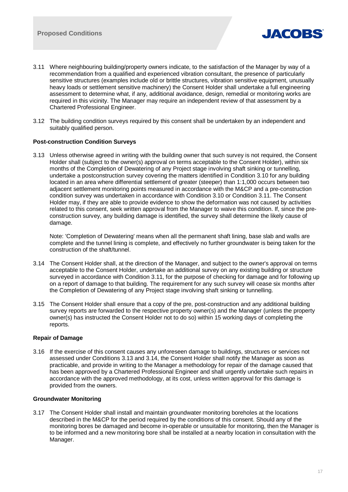

- 3.11 Where neighbouring building/property owners indicate, to the satisfaction of the Manager by way of a recommendation from a qualified and experienced vibration consultant, the presence of particularly sensitive structures (examples include old or brittle structures, vibration sensitive equipment, unusually heavy loads or settlement sensitive machinery) the Consent Holder shall undertake a full engineering assessment to determine what, if any, additional avoidance, design, remedial or monitoring works are required in this vicinity. The Manager may require an independent review of that assessment by a Chartered Professional Engineer.
- 3.12 The building condition surveys required by this consent shall be undertaken by an independent and suitably qualified person.

## **Post-construction Condition Surveys**

3.13 Unless otherwise agreed in writing with the building owner that such survey is not required, the Consent Holder shall (subject to the owner(s) approval on terms acceptable to the Consent Holder), within six months of the Completion of Dewatering of any Project stage involving shaft sinking or tunnelling, undertake a postconstruction survey covering the matters identified in Condition 3.10 for any building located in an area where differential settlement of greater (steeper) than 1:1,000 occurs between two adjacent settlement monitoring points measured in accordance with the M&CP and a pre-construction condition survey was undertaken in accordance with Condition 3.10 or Condition 3.11. The Consent Holder may, if they are able to provide evidence to show the deformation was not caused by activities related to this consent, seek written approval from the Manager to waive this condition. If, since the preconstruction survey, any building damage is identified, the survey shall determine the likely cause of damage.

Note: 'Completion of Dewatering' means when all the permanent shaft lining, base slab and walls are complete and the tunnel lining is complete, and effectively no further groundwater is being taken for the construction of the shaft/tunnel.

- 3.14 The Consent Holder shall, at the direction of the Manager, and subject to the owner's approval on terms acceptable to the Consent Holder, undertake an additional survey on any existing building or structure surveyed in accordance with Condition 3.11, for the purpose of checking for damage and for following up on a report of damage to that building. The requirement for any such survey will cease six months after the Completion of Dewatering of any Project stage involving shaft sinking or tunnelling.
- 3.15 The Consent Holder shall ensure that a copy of the pre, post-construction and any additional building survey reports are forwarded to the respective property owner(s) and the Manager (unless the property owner(s) has instructed the Consent Holder not to do so) within 15 working days of completing the reports.

## **Repair of Damage**

3.16 If the exercise of this consent causes any unforeseen damage to buildings, structures or services not assessed under Conditions 3.13 and 3.14, the Consent Holder shall notify the Manager as soon as practicable, and provide in writing to the Manager a methodology for repair of the damage caused that has been approved by a Chartered Professional Engineer and shall urgently undertake such repairs in accordance with the approved methodology, at its cost, unless written approval for this damage is provided from the owners.

## **Groundwater Monitoring**

3.17 The Consent Holder shall install and maintain groundwater monitoring boreholes at the locations described in the M&CP for the period required by the conditions of this consent. Should any of the monitoring bores be damaged and become in-operable or unsuitable for monitoring, then the Manager is to be informed and a new monitoring bore shall be installed at a nearby location in consultation with the Manager.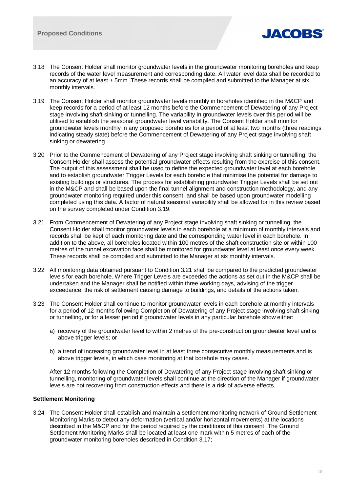

- 3.18 The Consent Holder shall monitor groundwater levels in the groundwater monitoring boreholes and keep records of the water level measurement and corresponding date. All water level data shall be recorded to an accuracy of at least  $\pm$  5mm. These records shall be compiled and submitted to the Manager at six monthly intervals.
- 3.19 The Consent Holder shall monitor groundwater levels monthly in boreholes identified in the M&CP and keep records for a period of at least 12 months before the Commencement of Dewatering of any Project stage involving shaft sinking or tunnelling. The variability in groundwater levels over this period will be utilised to establish the seasonal groundwater level variability. The Consent Holder shall monitor groundwater levels monthly in any proposed boreholes for a period of at least two months (three readings indicating steady state) before the Commencement of Dewatering of any Project stage involving shaft sinking or dewatering.
- 3.20 Prior to the Commencement of Dewatering of any Project stage involving shaft sinking or tunnelling, the Consent Holder shall assess the potential groundwater effects resulting from the exercise of this consent. The output of this assessment shall be used to define the expected groundwater level at each borehole and to establish groundwater Trigger Levels for each borehole that minimise the potential for damage to existing buildings or structures. The process for establishing groundwater Trigger Levels shall be set out in the M&CP and shall be based upon the final tunnel alignment and construction methodology, and any groundwater monitoring required under this consent, and shall be based upon groundwater modelling completed using this data. A factor of natural seasonal variability shall be allowed for in this review based on the survey completed under Condition 3.19.
- 3.21 From Commencement of Dewatering of any Project stage involving shaft sinking or tunnelling, the Consent Holder shall monitor groundwater levels in each borehole at a minimum of monthly intervals and records shall be kept of each monitoring date and the corresponding water level in each borehole. In addition to the above, all boreholes located within 100 metres of the shaft construction site or within 100 metres of the tunnel excavation face shall be monitored for groundwater level at least once every week. These records shall be compiled and submitted to the Manager at six monthly intervals.
- 3.22 All monitoring data obtained pursuant to Condition 3.21 shall be compared to the predicted groundwater levels for each borehole. Where Trigger Levels are exceeded the actions as set out in the M&CP shall be undertaken and the Manager shall be notified within three working days, advising of the trigger exceedance, the risk of settlement causing damage to buildings, and details of the actions taken.
- 3.23 The Consent Holder shall continue to monitor groundwater levels in each borehole at monthly intervals for a period of 12 months following Completion of Dewatering of any Project stage involving shaft sinking or tunnelling, or for a lesser period if groundwater levels in any particular borehole show either:
	- a) recovery of the groundwater level to within 2 metres of the pre-construction groundwater level and is above trigger levels; or
	- b) a trend of increasing groundwater level in at least three consecutive monthly measurements and is above trigger levels, in which case monitoring at that borehole may cease.

After 12 months following the Completion of Dewatering of any Project stage involving shaft sinking or tunnelling, monitoring of groundwater levels shall continue at the direction of the Manager if groundwater levels are not recovering from construction effects and there is a risk of adverse effects.

## **Settlement Monitoring**

3.24 The Consent Holder shall establish and maintain a settlement monitoring network of Ground Settlement Monitoring Marks to detect any deformation (vertical and/or horizontal movements) at the locations described in the M&CP and for the period required by the conditions of this consent. The Ground Settlement Monitoring Marks shall be located at least one mark within 5 metres of each of the groundwater monitoring boreholes described in Condition 3.17;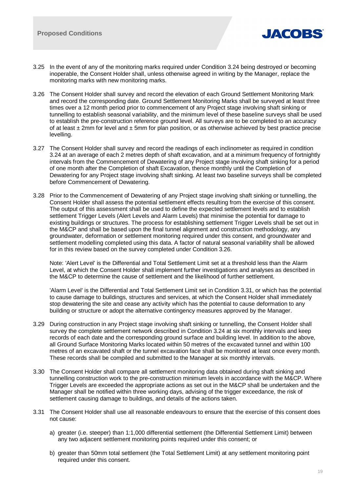

- 3.25 In the event of any of the monitoring marks required under Condition 3.24 being destroyed or becoming inoperable, the Consent Holder shall, unless otherwise agreed in writing by the Manager, replace the monitoring marks with new monitoring marks.
- 3.26 The Consent Holder shall survey and record the elevation of each Ground Settlement Monitoring Mark and record the corresponding date. Ground Settlement Monitoring Marks shall be surveyed at least three times over a 12 month period prior to commencement of any Project stage involving shaft sinking or tunnelling to establish seasonal variability, and the minimum level of these baseline surveys shall be used to establish the pre-construction reference ground level. All surveys are to be completed to an accuracy of at least  $\pm 2$ mm for level and  $\pm 5$ mm for plan position, or as otherwise achieved by best practice precise levelling.
- 3.27 The Consent Holder shall survey and record the readings of each inclinometer as required in condition 3.24 at an average of each 2 metres depth of shaft excavation, and at a minimum frequency of fortnightly intervals from the Commencement of Dewatering of any Project stage involving shaft sinking for a period of one month after the Completion of shaft Excavation, thence monthly until the Completion of Dewatering for any Project stage involving shaft sinking. At least two baseline surveys shall be completed before Commencement of Dewatering.
- 3.28 Prior to the Commencement of Dewatering of any Project stage involving shaft sinking or tunnelling, the Consent Holder shall assess the potential settlement effects resulting from the exercise of this consent. The output of this assessment shall be used to define the expected settlement levels and to establish settlement Trigger Levels (Alert Levels and Alarm Levels) that minimise the potential for damage to existing buildings or structures. The process for establishing settlement Trigger Levels shall be set out in the M&CP and shall be based upon the final tunnel alignment and construction methodology, any groundwater, deformation or settlement monitoring required under this consent, and groundwater and settlement modelling completed using this data. A factor of natural seasonal variability shall be allowed for in this review based on the survey completed under Condition 3.26.

Note: 'Alert Level' is the Differential and Total Settlement Limit set at a threshold less than the Alarm Level, at which the Consent Holder shall implement further investigations and analyses as described in the M&CP to determine the cause of settlement and the likelihood of further settlement.

'Alarm Level' is the Differential and Total Settlement Limit set in Condition 3.31, or which has the potential to cause damage to buildings, structures and services, at which the Consent Holder shall immediately stop dewatering the site and cease any activity which has the potential to cause deformation to any building or structure or adopt the alternative contingency measures approved by the Manager.

- 3.29 During construction in any Project stage involving shaft sinking or tunnelling, the Consent Holder shall survey the complete settlement network described in Condition 3.24 at six monthly intervals and keep records of each date and the corresponding ground surface and building level. In addition to the above, all Ground Surface Monitoring Marks located within 50 metres of the excavated tunnel and within 100 metres of an excavated shaft or the tunnel excavation face shall be monitored at least once every month. These records shall be compiled and submitted to the Manager at six monthly intervals.
- 3.30 The Consent Holder shall compare all settlement monitoring data obtained during shaft sinking and tunnelling construction work to the pre-construction minimum levels in accordance with the M&CP. Where Trigger Levels are exceeded the appropriate actions as set out in the M&CP shall be undertaken and the Manager shall be notified within three working days, advising of the trigger exceedance, the risk of settlement causing damage to buildings, and details of the actions taken.
- 3.31 The Consent Holder shall use all reasonable endeavours to ensure that the exercise of this consent does not cause:
	- a) greater (i.e. steeper) than 1:1,000 differential settlement (the Differential Settlement Limit) between any two adjacent settlement monitoring points required under this consent; or
	- b) greater than 50mm total settlement (the Total Settlement Limit) at any settlement monitoring point required under this consent.